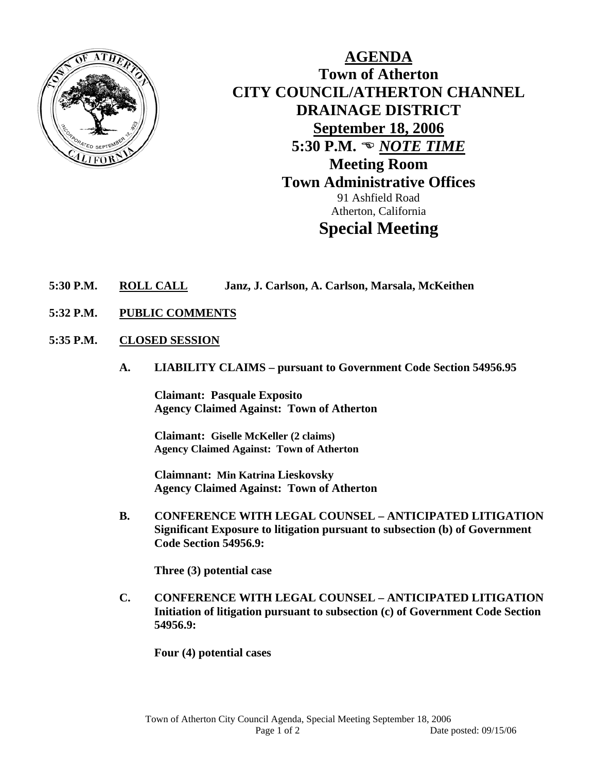

**AGENDA Town of Atherton CITY COUNCIL/ATHERTON CHANNEL DRAINAGE DISTRICT September 18, 2006 5:30 P.M.**  $\omega$ *NOTE TIME* **Meeting Room Town Administrative Offices**  91 Ashfield Road Atherton, California **Special Meeting** 

## **5:30 P.M. ROLL CALL Janz, J. Carlson, A. Carlson, Marsala, McKeithen**

- **5:32 P.M. PUBLIC COMMENTS**
- **5:35 P.M. CLOSED SESSION**
	- **A. LIABILITY CLAIMS pursuant to Government Code Section 54956.95**

**Claimant: Pasquale Exposito Agency Claimed Against: Town of Atherton** 

 **Claimant: Giselle McKeller (2 claims) Agency Claimed Against: Town of Atherton** 

 **Claimnant: Min Katrina Lieskovsky Agency Claimed Against: Town of Atherton** 

 **B. CONFERENCE WITH LEGAL COUNSEL – ANTICIPATED LITIGATION Significant Exposure to litigation pursuant to subsection (b) of Government Code Section 54956.9:** 

**Three (3) potential case** 

**C. CONFERENCE WITH LEGAL COUNSEL – ANTICIPATED LITIGATION Initiation of litigation pursuant to subsection (c) of Government Code Section 54956.9:** 

**Four (4) potential cases**